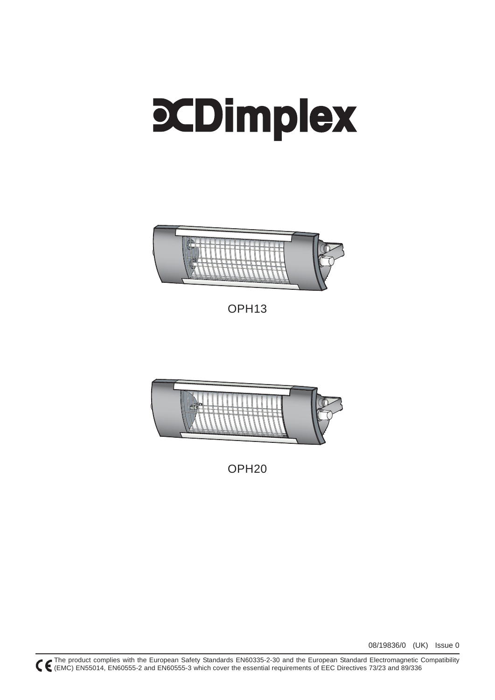# **CDimplex**



OPH13



OPH20

08/19836/0 (UK) Issue 0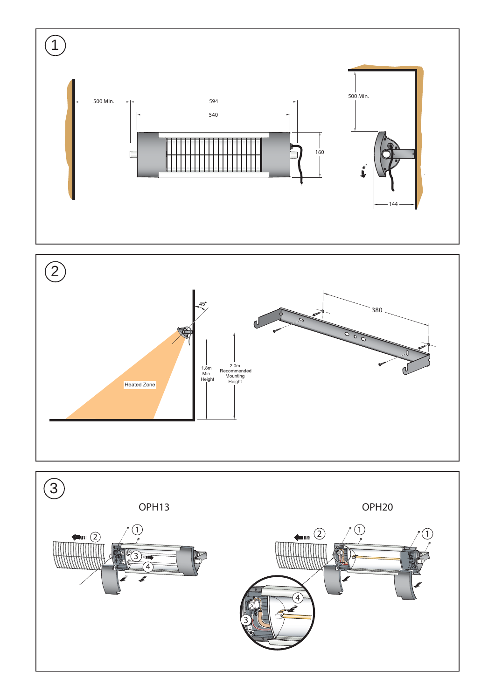



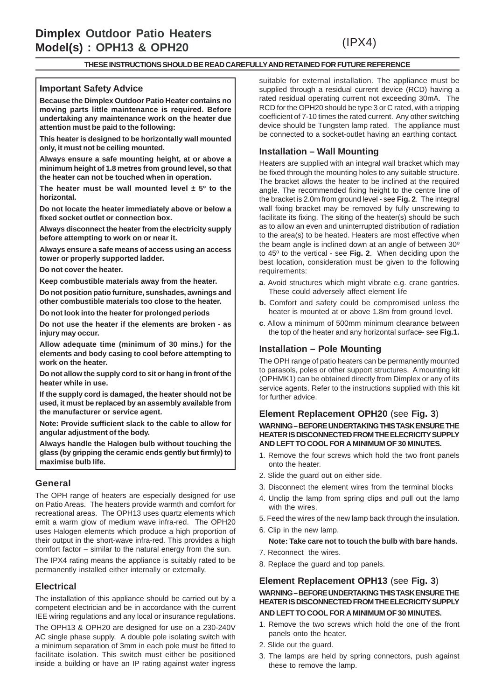# (IPX4)

#### **THESE INSTRUCTIONS SHOULD BE READ CAREFULLY AND RETAINED FOR FUTURE REFERENCE**

#### **Important Safety Advice**

**Because the Dimplex Outdoor Patio Heater contains no moving parts little maintenance is required. Before undertaking any maintenance work on the heater due attention must be paid to the following:**

**This heater is designed to be horizontally wall mounted only, it must not be ceiling mounted.**

**Always ensure a safe mounting height, at or above a minimum height of 1.8 metres from ground level, so that the heater can not be touched when in operation.**

**The heater must be wall mounted level ± 5º to the horizontal.**

**Do not locate the heater immediately above or below a fixed socket outlet or connection box.**

**Always disconnect the heater from the electricity supply before attempting to work on or near it.**

**Always ensure a safe means of access using an access tower or properly supported ladder.**

**Do not cover the heater.**

**Keep combustible materials away from the heater.**

**Do not position patio furniture, sunshades, awnings and other combustible materials too close to the heater.**

**Do not look into the heater for prolonged periods**

**Do not use the heater if the elements are broken - as injury may occur.**

**Allow adequate time (minimum of 30 mins.) for the elements and body casing to cool before attempting to work on the heater.**

**Do not allow the supply cord to sit or hang in front of the heater while in use.**

**If the supply cord is damaged, the heater should not be used, it must be replaced by an assembly available from the manufacturer or service agent.**

**Note: Provide sufficient slack to the cable to allow for angular adjustment of the body.**

**Always handle the Halogen bulb without touching the glass (by gripping the ceramic ends gently but firmly) to maximise bulb life.**

#### **General**

The OPH range of heaters are especially designed for use on Patio Areas. The heaters provide warmth and comfort for recreational areas. The OPH13 uses quartz elements which emit a warm glow of medium wave infra-red. The OPH20 uses Halogen elements which produce a high proportion of their output in the short-wave infra-red. This provides a high comfort factor – similar to the natural energy from the sun.

The IPX4 rating means the appliance is suitably rated to be permanently installed either internally or externally.

#### **Electrical**

The installation of this appliance should be carried out by a competent electrician and be in accordance with the current IEE wiring regulations and any local or insurance regulations.

The OPH13 & OPH20 are designed for use on a 230-240V AC single phase supply. A double pole isolating switch with a minimum separation of 3mm in each pole must be fitted to facilitate isolation. This switch must either be positioned inside a building or have an IP rating against water ingress suitable for external installation. The appliance must be supplied through a residual current device (RCD) having a rated residual operating current not exceeding 30mA. The RCD for the OPH20 should be type 3 or C rated, with a tripping coefficient of 7-10 times the rated current. Any other switching device should be Tungsten lamp rated. The appliance must be connected to a socket-outlet having an earthing contact.

#### **Installation – Wall Mounting**

Heaters are supplied with an integral wall bracket which may be fixed through the mounting holes to any suitable structure. The bracket allows the heater to be inclined at the required angle. The recommended fixing height to the centre line of the bracket is 2.0m from ground level - see **Fig. 2**. The integral wall fixing bracket may be removed by fully unscrewing to facilitate its fixing. The siting of the heater(s) should be such as to allow an even and uninterrupted distribution of radiation to the area(s) to be heated. Heaters are most effective when the beam angle is inclined down at an angle of between 30º to 45º to the vertical - see **Fig. 2**. When deciding upon the best location, consideration must be given to the following requirements:

- **a**. Avoid structures which might vibrate e.g. crane gantries. These could adversely affect element life
- **b.** Comfort and safety could be compromised unless the heater is mounted at or above 1.8m from ground level.
- **c**. Allow a minimum of 500mm minimum clearance between the top of the heater and any horizontal surface- see **Fig.1.**

#### **Installation – Pole Mounting**

The OPH range of patio heaters can be permanently mounted to parasols, poles or other support structures. A mounting kit (OPHMK1) can be obtained directly from Dimplex or any of its service agents. Refer to the instructions supplied with this kit for further advice.

#### **Element Replacement OPH20** (see **Fig. 3**) **WARNING – BEFORE UNDERTAKING THIS TASK ENSURE THE HEATER IS DISCONNECTED FROM THE ELECRICITY SUPPLY AND LEFT TO COOL FOR A MINIMUM OF 30 MINUTES.**

- 1. Remove the four screws which hold the two front panels onto the heater.
- 2. Slide the guard out on either side.
- 3. Disconnect the element wires from the terminal blocks
- 4. Unclip the lamp from spring clips and pull out the lamp with the wires.
- 5. Feed the wires of the new lamp back through the insulation.
- 6. Clip in the new lamp.

#### **Note: Take care not to touch the bulb with bare hands.**

- 7. Reconnect the wires.
- 8. Replace the guard and top panels.

#### **Element Replacement OPH13** (see **Fig. 3**) **WARNING – BEFORE UNDERTAKING THIS TASK ENSURE THE HEATER IS DISCONNECTED FROM THE ELECRICITY SUPPLY AND LEFT TO COOL FOR A MINIMUM OF 30 MINUTES.**

- 1. Remove the two screws which hold the one of the front panels onto the heater.
- 2. Slide out the guard.
- 3. The lamps are held by spring connectors, push against these to remove the lamp.